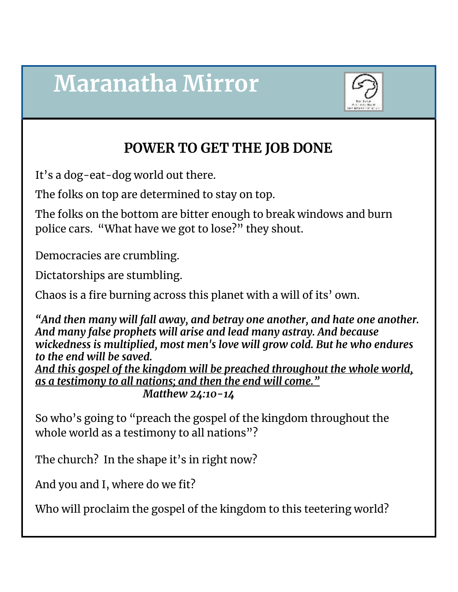# **Maranatha Mirror**



### **POWER TO GET THE JOB DONE**

It's a dog-eat-dog world out there.

The folks on top are determined to stay on top.

The folks on the bottom are bitter enough to break windows and burn police cars. "What have we got to lose?" they shout.

Democracies are crumbling.

Dictatorships are stumbling.

Chaos is a fire burning across this planet with a will of its' own.

*"And then many will fall away, and betray one another, and hate one another. And many false prophets will arise and lead many astray. And because wickedness is multiplied, most men's love will grow cold. But he who endures to the end will be saved.*

*And this gospel of the kingdom will be preached throughout the whole world, as a testimony to all nations; and then the end will come." Matthew 24:10-14*

So who's going to "preach the gospel of the kingdom throughout the whole world as a testimony to all nations"?

The church? In the shape it's in right now?

And you and I, where do we fit?

Who will proclaim the gospel of the kingdom to this teetering world?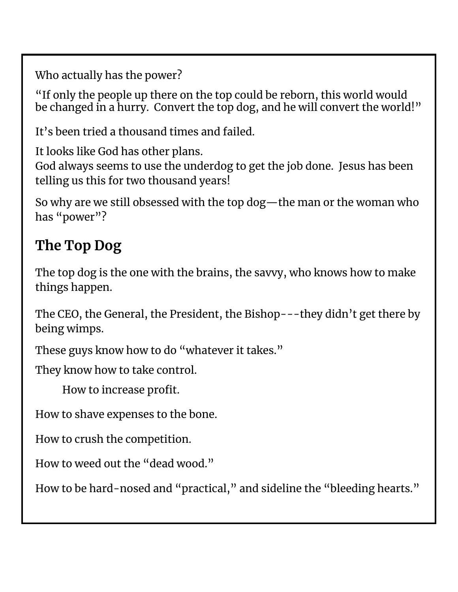Who actually has the power?

"If only the people up there on the top could be reborn, this world would be changed in a hurry. Convert the top dog, and he will convert the world!"

It's been tried a thousand times and failed.

It looks like God has other plans.

God always seems to use the underdog to get the job done. Jesus has been telling us this for two thousand years!

So why are we still obsessed with the top dog—the man or the woman who has "power"?

### **The Top Dog**

The top dog is the one with the brains, the savvy, who knows how to make things happen.

The CEO, the General, the President, the Bishop---they didn't get there by being wimps.

These guys know how to do "whatever it takes."

They know how to take control.

How to increase profit.

How to shave expenses to the bone.

How to crush the competition.

How to weed out the "dead wood."

How to be hard-nosed and "practical, " and sideline the "bleeding hearts."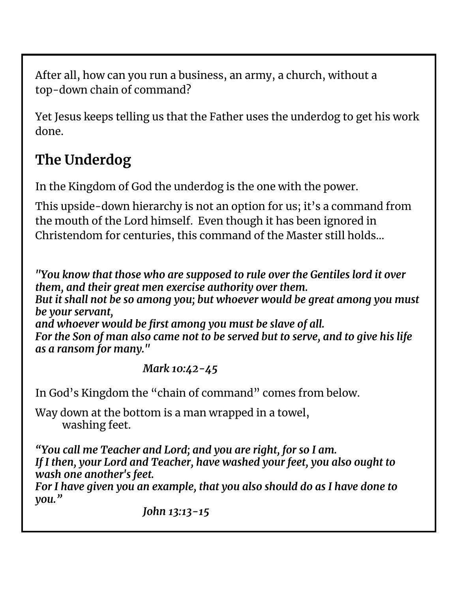After all, how can you run a business, an army, a church, without a top-down chain of command?

Yet Jesus keeps telling us that the Father uses the underdog to get his work done.

## **The Underdog**

In the Kingdom of God the underdog is the one with the power.

This upside-down hierarchy is not an option for us; it's a command from the mouth of the Lord himself. Even though it has been ignored in Christendom for centuries, this command of the Master still holds…

*"You know that those who are supposed to rule over the Gentiles lord it over them, and their great men exercise authority over them.*

*But it shall not be so among you; but whoever would be great among you must be your servant,*

*and whoever would be first among you must be slave of all.*

*For the Son of man also came not to be served but to serve, and to give his life as a ransom for many."*

### *Mark 10:42-45*

In God's Kingdom the "chain of command" comes from below.

Way down at the bottom is a man wrapped in a towel, washing feet.

*"You call me Teacher and Lord; and you are right, for so I am. If I then, your Lord and Teacher, have washed your feet, you also ought to wash one another's feet.*

*For I have given you an example, that you also should do as I have done to you."*

*John 13:13-15*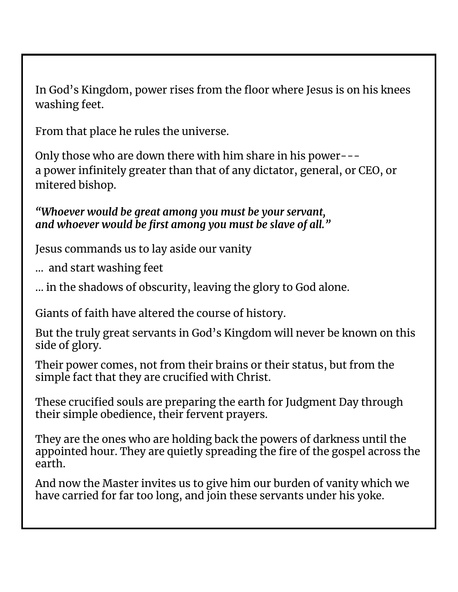In God's Kingdom, power rises from the floor where Jesus is on his knees washing feet.

From that place he rules the universe.

Only those who are down there with him share in his power-- a power infinitely greater than that of any dictator, general, or CEO, or mitered bishop.

*"Whoever would be great among you must be your servant, and whoever would be first among you must be slave of all."*

Jesus commands us to lay aside our vanity

… and start washing feet

... in the shadows of obscurity, leaving the glory to God alone.

Giants of faith have altered the course of history.

But the truly great servants in God's Kingdom will never be known on this side of glory.

Their power comes, not from their brains or their status, but from the simple fact that they are crucified with Christ.

These crucified souls are preparing the earth for Judgment Day through their simple obedience, their fervent prayers.

They are the ones who are holding back the powers of darkness until the appointed hour. They are quietly spreading the fire of the gospel across the earth.

And now the Master invites us to give him our burden of vanity which we have carried for far too long, and join these servants under his yoke.